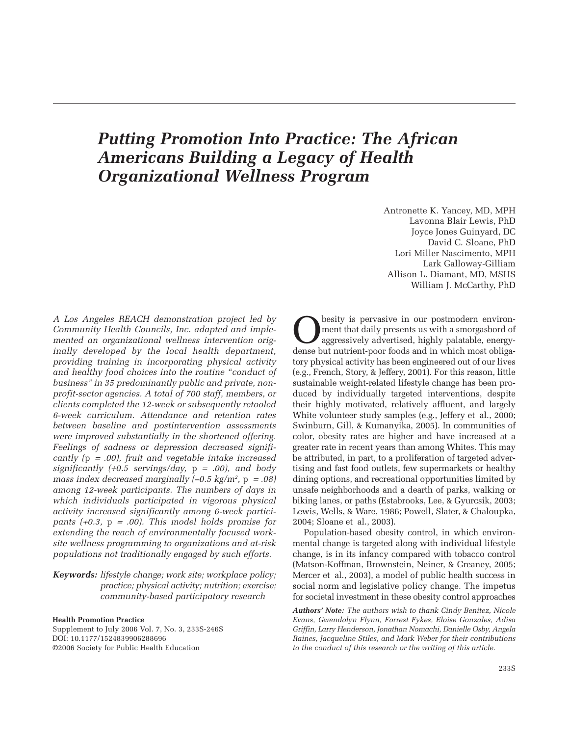# *Putting Promotion Into Practice: The African Americans Building a Legacy of Health Organizational Wellness Program*

*A Los Angeles REACH demonstration project led by Community Health Councils, Inc. adapted and implemented an organizational wellness intervention originally developed by the local health department, providing training in incorporating physical activity and healthy food choices into the routine "conduct of business" in 35 predominantly public and private, nonprofit-sector agencies. A total of 700 staff, members, or clients completed the 12-week or subsequently retooled 6-week curriculum. Attendance and retention rates between baseline and postintervention assessments were improved substantially in the shortened offering. Feelings of sadness or depression decreased significantly (*p <sup>=</sup> *.00), fruit and vegetable intake increased significantly (*+*0.5 servings/day,* p <sup>=</sup> *.00), and body mass index decreased marginally*  $(-0.5 \text{ kg/m}^2, \text{p} = .08)$ *among 12-week participants. The numbers of days in which individuals participated in vigorous physical activity increased significantly among 6-week participants (*+*0.3,* p <sup>=</sup> *.00). This model holds promise for extending the reach of environmentally focused worksite wellness programming to organizations and at-risk populations not traditionally engaged by such efforts.*

*Keywords: lifestyle change; work site; workplace policy; practice; physical activity; nutrition; exercise; community-based participatory research*

#### **Health Promotion Practice**

Supplement to July 2006 Vol. 7, No. 3, 233S-246S DOI: 10.1177/1524839906288696 ©2006 Society for Public Health Education

Antronette K. Yancey, MD, MPH Lavonna Blair Lewis, PhD Joyce Jones Guinyard, DC David C. Sloane, PhD Lori Miller Nascimento, MPH Lark Galloway-Gilliam Allison L. Diamant, MD, MSHS William J. McCarthy, PhD

**ODEN SERV** is pervasive in our postmodern environ-<br>ment that daily presents us with a smorgasbord of<br>aggressively advertised, highly palatable, energy-<br>dense but nutrient-poor foods and in which most obligament that daily presents us with a smorgasbord of aggressively advertised, highly palatable, energydense but nutrient-poor foods and in which most obligatory physical activity has been engineered out of our lives (e.g., French, Story, & Jeffery, 2001). For this reason, little sustainable weight-related lifestyle change has been produced by individually targeted interventions, despite their highly motivated, relatively affluent, and largely White volunteer study samples (e.g., Jeffery et al., 2000; Swinburn, Gill, & Kumanyika, 2005). In communities of color, obesity rates are higher and have increased at a greater rate in recent years than among Whites. This may be attributed, in part, to a proliferation of targeted advertising and fast food outlets, few supermarkets or healthy dining options, and recreational opportunities limited by unsafe neighborhoods and a dearth of parks, walking or biking lanes, or paths (Estabrooks, Lee, & Gyurcsik, 2003; Lewis, Wells, & Ware, 1986; Powell, Slater, & Chaloupka, 2004; Sloane et al., 2003).

Population-based obesity control, in which environmental change is targeted along with individual lifestyle change, is in its infancy compared with tobacco control (Matson-Koffman, Brownstein, Neiner, & Greaney, 2005; Mercer et al., 2003), a model of public health success in social norm and legislative policy change. The impetus for societal investment in these obesity control approaches

*Authors' Note: The authors wish to thank Cindy Benitez, Nicole Evans, Gwendolyn Flynn, Forrest Fykes, Eloise Gonzales, Adisa Griffin, Larry Henderson, Jonathan Nomachi, Danielle Osby, Angela Raines, Jacqueline Stiles, and Mark Weber for their contributions to the conduct of this research or the writing of this article.*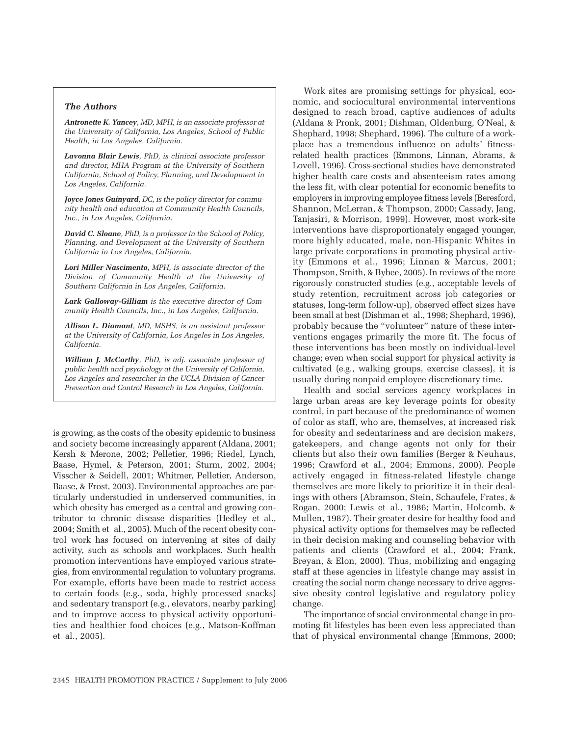# *The Authors*

*Antronette K. Yancey, MD, MPH, is an associate professor at the University of California, Los Angeles, School of Public Health, in Los Angeles, California.*

*Lavonna Blair Lewis, PhD, is clinical associate professor and director, MHA Program at the University of Southern California, School of Policy, Planning, and Development in Los Angeles, California.*

*Joyce Jones Guinyard, DC, is the policy director for community health and education at Community Health Councils, Inc., in Los Angeles, California.*

*David C. Sloane, PhD, is a professor in the School of Policy, Planning, and Development at the University of Southern California in Los Angeles, California.*

*Lori Miller Nascimento, MPH, is associate director of the Division of Community Health at the University of Southern California in Los Angeles, California.*

*Lark Galloway-Gilliam is the executive director of Community Health Councils, Inc., in Los Angeles, California.*

*Allison L. Diamant, MD, MSHS, is an assistant professor at the University of California, Los Angeles in Los Angeles, California.*

*William J. McCarthy, PhD, is adj. associate professor of public health and psychology at the University of California, Los Angeles and researcher in the UCLA Division of Cancer Prevention and Control Research in Los Angeles, California.*

is growing, as the costs of the obesity epidemic to business and society become increasingly apparent (Aldana, 2001; Kersh & Merone, 2002; Pelletier, 1996; Riedel, Lynch, Baase, Hymel, & Peterson, 2001; Sturm, 2002, 2004; Visscher & Seidell, 2001; Whitmer, Pelletier, Anderson, Baase, & Frost, 2003). Environmental approaches are particularly understudied in underserved communities, in which obesity has emerged as a central and growing contributor to chronic disease disparities (Hedley et al., 2004; Smith et al., 2005). Much of the recent obesity control work has focused on intervening at sites of daily activity, such as schools and workplaces. Such health promotion interventions have employed various strategies, from environmental regulation to voluntary programs. For example, efforts have been made to restrict access to certain foods (e.g., soda, highly processed snacks) and sedentary transport (e.g., elevators, nearby parking) and to improve access to physical activity opportunities and healthier food choices (e.g., Matson-Koffman et al., 2005).

Work sites are promising settings for physical, economic, and sociocultural environmental interventions designed to reach broad, captive audiences of adults (Aldana & Pronk, 2001; Dishman, Oldenburg, O'Neal, & Shephard, 1998; Shephard, 1996). The culture of a workplace has a tremendous influence on adults' fitnessrelated health practices (Emmons, Linnan, Abrams, & Lovell, 1996). Cross-sectional studies have demonstrated higher health care costs and absenteeism rates among the less fit, with clear potential for economic benefits to employers in improving employee fitness levels (Beresford, Shannon, McLerran, & Thompson, 2000; Cassady, Jang, Tanjasiri, & Morrison, 1999). However, most work-site interventions have disproportionately engaged younger, more highly educated, male, non-Hispanic Whites in large private corporations in promoting physical activity (Emmons et al., 1996; Linnan & Marcus, 2001; Thompson, Smith, & Bybee, 2005). In reviews of the more rigorously constructed studies (e.g., acceptable levels of study retention, recruitment across job categories or statuses, long-term follow-up), observed effect sizes have been small at best (Dishman et al., 1998; Shephard, 1996), probably because the "volunteer" nature of these interventions engages primarily the more fit. The focus of these interventions has been mostly on individual-level change; even when social support for physical activity is cultivated (e.g., walking groups, exercise classes), it is usually during nonpaid employee discretionary time.

Health and social services agency workplaces in large urban areas are key leverage points for obesity control, in part because of the predominance of women of color as staff, who are, themselves, at increased risk for obesity and sedentariness and are decision makers, gatekeepers, and change agents not only for their clients but also their own families (Berger & Neuhaus, 1996; Crawford et al., 2004; Emmons, 2000). People actively engaged in fitness-related lifestyle change themselves are more likely to prioritize it in their dealings with others (Abramson, Stein, Schaufele, Frates, & Rogan, 2000; Lewis et al., 1986; Martin, Holcomb, & Mullen, 1987). Their greater desire for healthy food and physical activity options for themselves may be reflected in their decision making and counseling behavior with patients and clients (Crawford et al., 2004; Frank, Breyan, & Elon, 2000). Thus, mobilizing and engaging staff at these agencies in lifestyle change may assist in creating the social norm change necessary to drive aggressive obesity control legislative and regulatory policy change.

The importance of social environmental change in promoting fit lifestyles has been even less appreciated than that of physical environmental change (Emmons, 2000;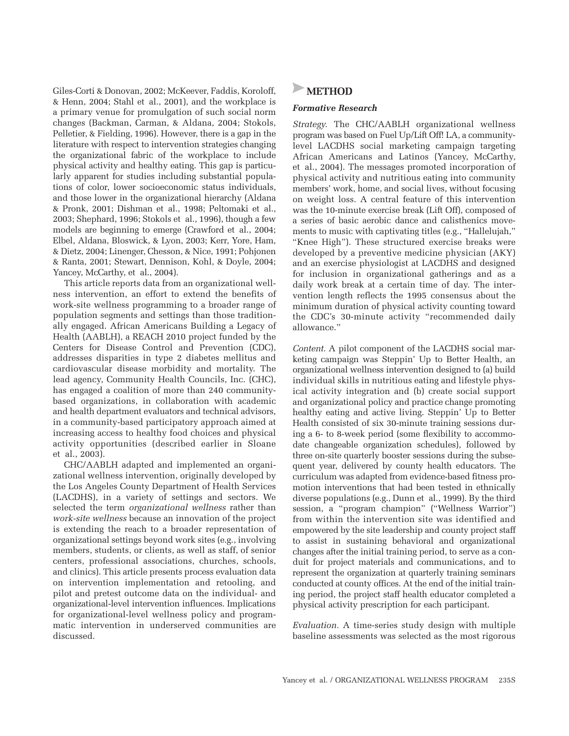Giles-Corti & Donovan, 2002; McKeever, Faddis, Koroloff, & Henn, 2004; Stahl et al., 2001), and the workplace is a primary venue for promulgation of such social norm changes (Backman, Carman, & Aldana, 2004; Stokols, Pelletier, & Fielding, 1996). However, there is a gap in the literature with respect to intervention strategies changing the organizational fabric of the workplace to include physical activity and healthy eating. This gap is particularly apparent for studies including substantial populations of color, lower socioeconomic status individuals, and those lower in the organizational hierarchy (Aldana & Pronk, 2001; Dishman et al., 1998; Peltomaki et al., 2003; Shephard, 1996; Stokols et al., 1996), though a few models are beginning to emerge (Crawford et al., 2004; Elbel, Aldana, Bloswick, & Lyon, 2003; Kerr, Yore, Ham, & Dietz, 2004; Linenger, Chesson, & Nice, 1991; Pohjonen & Ranta, 2001; Stewart, Dennison, Kohl, & Doyle, 2004; Yancey, McCarthy, et al., 2004).

This article reports data from an organizational wellness intervention, an effort to extend the benefits of work-site wellness programming to a broader range of population segments and settings than those traditionally engaged. African Americans Building a Legacy of Health (AABLH), a REACH 2010 project funded by the Centers for Disease Control and Prevention (CDC), addresses disparities in type 2 diabetes mellitus and cardiovascular disease morbidity and mortality. The lead agency, Community Health Councils, Inc. (CHC), has engaged a coalition of more than 240 communitybased organizations, in collaboration with academic and health department evaluators and technical advisors, in a community-based participatory approach aimed at increasing access to healthy food choices and physical activity opportunities (described earlier in Sloane et al., 2003).

CHC/AABLH adapted and implemented an organizational wellness intervention, originally developed by the Los Angeles County Department of Health Services (LACDHS), in a variety of settings and sectors. We selected the term *organizational wellness* rather than *work-site wellness* because an innovation of the project is extending the reach to a broader representation of organizational settings beyond work sites (e.g., involving members, students, or clients, as well as staff, of senior centers, professional associations, churches, schools, and clinics). This article presents process evaluation data on intervention implementation and retooling, and pilot and pretest outcome data on the individual- and organizational-level intervention influences. Implications for organizational-level wellness policy and programmatic intervention in underserved communities are discussed.

# **METHOD** >

# *Formative Research*

*Strategy.* The CHC/AABLH organizational wellness program was based on Fuel Up/Lift Off! LA, a communitylevel LACDHS social marketing campaign targeting African Americans and Latinos (Yancey, McCarthy, et al., 2004). The messages promoted incorporation of physical activity and nutritious eating into community members' work, home, and social lives, without focusing on weight loss. A central feature of this intervention was the 10-minute exercise break (Lift Off), composed of a series of basic aerobic dance and calisthenics movements to music with captivating titles (e.g., "Hallelujah," "Knee High"). These structured exercise breaks were developed by a preventive medicine physician (AKY) and an exercise physiologist at LACDHS and designed for inclusion in organizational gatherings and as a daily work break at a certain time of day. The intervention length reflects the 1995 consensus about the minimum duration of physical activity counting toward the CDC's 30-minute activity "recommended daily allowance."

*Content.* A pilot component of the LACDHS social marketing campaign was Steppin' Up to Better Health, an organizational wellness intervention designed to (a) build individual skills in nutritious eating and lifestyle physical activity integration and (b) create social support and organizational policy and practice change promoting healthy eating and active living. Steppin' Up to Better Health consisted of six 30-minute training sessions during a 6- to 8-week period (some flexibility to accommodate changeable organization schedules), followed by three on-site quarterly booster sessions during the subsequent year, delivered by county health educators. The curriculum was adapted from evidence-based fitness promotion interventions that had been tested in ethnically diverse populations (e.g., Dunn et al., 1999). By the third session, a "program champion" ("Wellness Warrior") from within the intervention site was identified and empowered by the site leadership and county project staff to assist in sustaining behavioral and organizational changes after the initial training period, to serve as a conduit for project materials and communications, and to represent the organization at quarterly training seminars conducted at county offices. At the end of the initial training period, the project staff health educator completed a physical activity prescription for each participant.

*Evaluation.* A time-series study design with multiple baseline assessments was selected as the most rigorous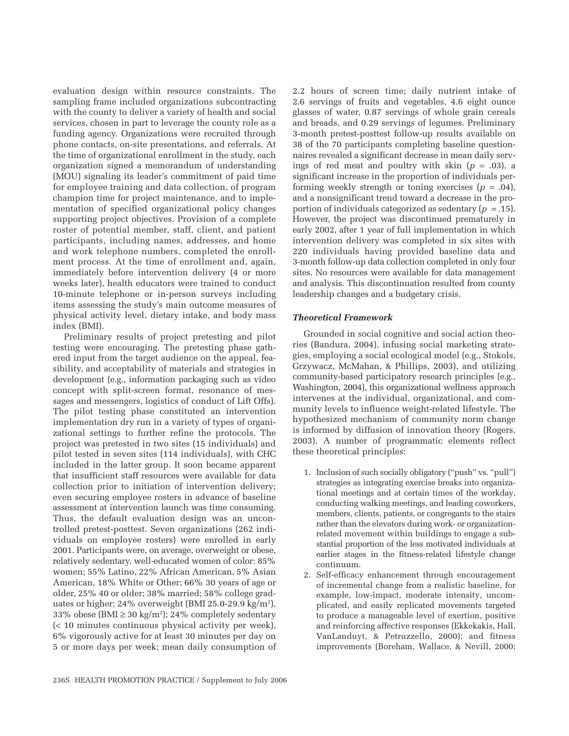evaluation design within resource constraints. The sampling frame included organizations subcontracting with the county to deliver a variety of health and social services, chosen in part to leverage the county role as a funding agency. Organizations were recruited through phone contacts, on-site presentations, and referrals. At the time of organizational enrollment in the study, each organization signed a memorandum of understanding (MOU) signaling its leader's commitment of paid time for employee training and data collection, of program champion time for project maintenance, and to implementation of specified organizational policy changes supporting project objectives. Provision of a complete roster of potential member, staff, client, and patient participants, including names, addresses, and home and work telephone numbers, completed the enrollment process. At the time of enrollment and, again, immediately before intervention delivery (4 or more weeks later), health educators were trained to conduct 10-minute telephone or in-person surveys including items assessing the study's main outcome measures of physical activity level, dietary intake, and body mass index (BMI).

Preliminary results of project pretesting and pilot testing were encouraging. The pretesting phase gathered input from the target audience on the appeal, feasibility, and acceptability of materials and strategies in development (e.g., information packaging such as video concept with split-screen format, resonance of messages and messengers, logistics of conduct of Lift Offs)*.* The pilot testing phase constituted an intervention implementation dry run in a variety of types of organizational settings to further refine the protocols. The project was pretested in two sites (15 individuals) and pilot tested in seven sites (114 individuals), with CHC included in the latter group. It soon became apparent that insufficient staff resources were available for data collection prior to initiation of intervention delivery; even securing employee rosters in advance of baseline assessment at intervention launch was time consuming. Thus, the default evaluation design was an uncontrolled pretest-posttest. Seven organizations (262 individuals on employee rosters) were enrolled in early 2001. Participants were, on average, overweight or obese, relatively sedentary, well-educated women of color: 85% women; 55% Latino, 22% African American, 5% Asian American, 18% White or Other; 66% 30 years of age or older, 25% 40 or older; 38% married; 58% college graduates or higher;  $24\%$  overweight (BMI 25.0-29.9 kg/m<sup>2</sup>), 33% obese (BMI  $\geq$  30 kg/m<sup>2</sup>); 24% completely sedentary (< 10 minutes continuous physical activity per week), 6% vigorously active for at least 30 minutes per day on 5 or more days per week; mean daily consumption of 2.2 hours of screen time; daily nutrient intake of 2.6 servings of fruits and vegetables, 4.6 eight ounce glasses of water, 0.87 servings of whole grain cereals and breads, and 0.29 servings of legumes. Preliminary 3-month pretest-posttest follow-up results available on 38 of the 70 participants completing baseline questionnaires revealed a significant decrease in mean daily servings of red meat and poultry with skin  $(p = .03)$ , a significant increase in the proportion of individuals performing weekly strength or toning exercises  $(p = .04)$ , and a nonsignificant trend toward a decrease in the proportion of individuals categorized as sedentary  $(p = .15)$ . However, the project was discontinued prematurely in early 2002, after 1 year of full implementation in which intervention delivery was completed in six sites with 220 individuals having provided baseline data and 3-month follow-up data collection completed in only four sites. No resources were available for data management and analysis. This discontinuation resulted from county leadership changes and a budgetary crisis.

# *Theoretical Framework*

Grounded in social cognitive and social action theories (Bandura, 2004), infusing social marketing strategies, employing a social ecological model (e.g., Stokols, Grzywacz, McMahan, & Phillips, 2003), and utilizing community-based participatory research principles (e.g., Washington, 2004), this organizational wellness approach intervenes at the individual, organizational, and community levels to influence weight-related lifestyle. The hypothesized mechanism of community norm change is informed by diffusion of innovation theory (Rogers, 2003). A number of programmatic elements reflect these theoretical principles:

- 1. Inclusion of such socially obligatory ("push" vs. "pull") strategies as integrating exercise breaks into organizational meetings and at certain times of the workday, conducting walking meetings, and leading coworkers, members, clients, patients, or congregants to the stairs rather than the elevators during work- or organizationrelated movement within buildings to engage a substantial proportion of the less motivated individuals at earlier stages in the fitness-related lifestyle change continuum.
- 2. Self-efficacy enhancement through encouragement of incremental change from a realistic baseline, for example, low-impact, moderate intensity, uncomplicated, and easily replicated movements targeted to produce a manageable level of exertion, positive and reinforcing affective responses (Ekkekakis, Hall, VanLanduyt, & Petruzzello, 2000); and fitness improvements (Boreham, Wallace, & Nevill, 2000;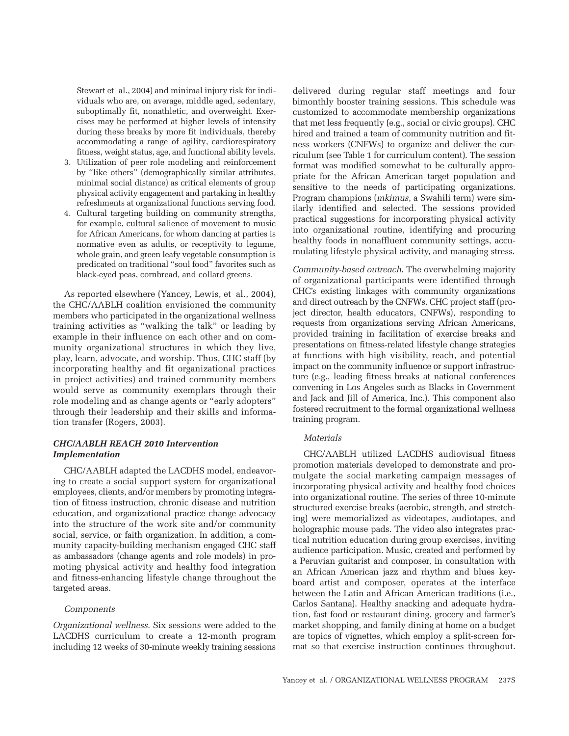Stewart et al., 2004) and minimal injury risk for individuals who are, on average, middle aged, sedentary, suboptimally fit, nonathletic, and overweight. Exercises may be performed at higher levels of intensity during these breaks by more fit individuals, thereby accommodating a range of agility, cardiorespiratory fitness, weight status, age, and functional ability levels.

- 3. Utilization of peer role modeling and reinforcement by "like others" (demographically similar attributes, minimal social distance) as critical elements of group physical activity engagement and partaking in healthy refreshments at organizational functions serving food.
- 4. Cultural targeting building on community strengths, for example, cultural salience of movement to music for African Americans, for whom dancing at parties is normative even as adults, or receptivity to legume, whole grain, and green leafy vegetable consumption is predicated on traditional "soul food" favorites such as black-eyed peas, cornbread, and collard greens.

As reported elsewhere (Yancey, Lewis, et al., 2004), the CHC/AABLH coalition envisioned the community members who participated in the organizational wellness training activities as "walking the talk" or leading by example in their influence on each other and on community organizational structures in which they live, play, learn, advocate, and worship. Thus, CHC staff (by incorporating healthy and fit organizational practices in project activities) and trained community members would serve as community exemplars through their role modeling and as change agents or "early adopters" through their leadership and their skills and information transfer (Rogers, 2003).

# *CHC/AABLH REACH 2010 Intervention Implementation*

CHC/AABLH adapted the LACDHS model, endeavoring to create a social support system for organizational employees, clients, and/or members by promoting integration of fitness instruction, chronic disease and nutrition education, and organizational practice change advocacy into the structure of the work site and/or community social, service, or faith organization. In addition, a community capacity-building mechanism engaged CHC staff as ambassadors (change agents and role models) in promoting physical activity and healthy food integration and fitness-enhancing lifestyle change throughout the targeted areas.

#### *Components*

*Organizational wellness.* Six sessions were added to the LACDHS curriculum to create a 12-month program including 12 weeks of 30-minute weekly training sessions delivered during regular staff meetings and four bimonthly booster training sessions. This schedule was customized to accommodate membership organizations that met less frequently (e.g., social or civic groups). CHC hired and trained a team of community nutrition and fitness workers (CNFWs) to organize and deliver the curriculum (see Table 1 for curriculum content). The session format was modified somewhat to be culturally appropriate for the African American target population and sensitive to the needs of participating organizations. Program champions (*mkimus*, a Swahili term) were similarly identified and selected. The sessions provided practical suggestions for incorporating physical activity into organizational routine, identifying and procuring healthy foods in nonaffluent community settings, accumulating lifestyle physical activity, and managing stress.

*Community-based outreach*. The overwhelming majority of organizational participants were identified through CHC's existing linkages with community organizations and direct outreach by the CNFWs. CHC project staff (project director, health educators, CNFWs), responding to requests from organizations serving African Americans, provided training in facilitation of exercise breaks and presentations on fitness-related lifestyle change strategies at functions with high visibility, reach, and potential impact on the community influence or support infrastructure (e.g., leading fitness breaks at national conferences convening in Los Angeles such as Blacks in Government and Jack and Jill of America, Inc.). This component also fostered recruitment to the formal organizational wellness training program.

#### *Materials*

CHC/AABLH utilized LACDHS audiovisual fitness promotion materials developed to demonstrate and promulgate the social marketing campaign messages of incorporating physical activity and healthy food choices into organizational routine. The series of three 10-minute structured exercise breaks (aerobic, strength, and stretching) were memorialized as videotapes, audiotapes, and holographic mouse pads. The video also integrates practical nutrition education during group exercises, inviting audience participation. Music, created and performed by a Peruvian guitarist and composer, in consultation with an African American jazz and rhythm and blues keyboard artist and composer, operates at the interface between the Latin and African American traditions (i.e., Carlos Santana). Healthy snacking and adequate hydration, fast food or restaurant dining, grocery and farmer's market shopping, and family dining at home on a budget are topics of vignettes, which employ a split-screen format so that exercise instruction continues throughout.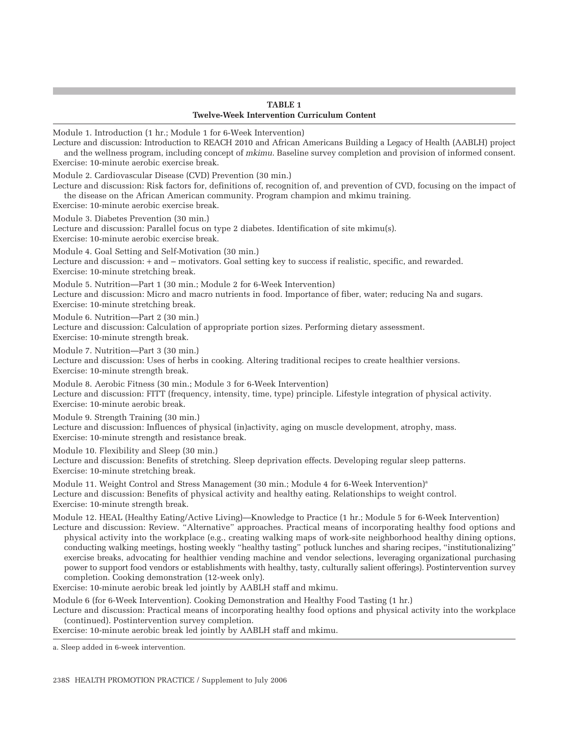# **TABLE 1 Twelve-Week Intervention Curriculum Content**

Module 1. Introduction (1 hr.; Module 1 for 6-Week Intervention)

Lecture and discussion: Introduction to REACH 2010 and African Americans Building a Legacy of Health (AABLH) project and the wellness program, including concept of *mkimu*. Baseline survey completion and provision of informed consent. Exercise: 10-minute aerobic exercise break.

Module 2. Cardiovascular Disease (CVD) Prevention (30 min.)

Lecture and discussion: Risk factors for, definitions of, recognition of, and prevention of CVD, focusing on the impact of the disease on the African American community. Program champion and mkimu training.

Exercise: 10-minute aerobic exercise break.

Module 3. Diabetes Prevention (30 min.)

Lecture and discussion: Parallel focus on type 2 diabetes. Identification of site mkimu(s). Exercise: 10-minute aerobic exercise break.

Module 4. Goal Setting and Self-Motivation (30 min.) Lecture and discussion: + and – motivators. Goal setting key to success if realistic, specific, and rewarded. Exercise: 10-minute stretching break.

Module 5. Nutrition—Part 1 (30 min.; Module 2 for 6-Week Intervention) Lecture and discussion: Micro and macro nutrients in food. Importance of fiber, water; reducing Na and sugars. Exercise: 10-minute stretching break.

Module 6. Nutrition—Part 2 (30 min.)

Lecture and discussion: Calculation of appropriate portion sizes. Performing dietary assessment. Exercise: 10-minute strength break.

Module 7. Nutrition—Part 3 (30 min.)

Lecture and discussion: Uses of herbs in cooking. Altering traditional recipes to create healthier versions. Exercise: 10-minute strength break.

Module 8. Aerobic Fitness (30 min.; Module 3 for 6-Week Intervention) Lecture and discussion: FITT (frequency, intensity, time, type) principle. Lifestyle integration of physical activity. Exercise: 10-minute aerobic break.

Module 9. Strength Training (30 min.) Lecture and discussion: Influences of physical (in)activity, aging on muscle development, atrophy, mass. Exercise: 10-minute strength and resistance break.

Module 10. Flexibility and Sleep (30 min.)

Lecture and discussion: Benefits of stretching. Sleep deprivation effects. Developing regular sleep patterns. Exercise: 10-minute stretching break.

Module 11. Weight Control and Stress Management (30 min.; Module 4 for 6-Week Intervention)<sup>a</sup> Lecture and discussion: Benefits of physical activity and healthy eating. Relationships to weight control. Exercise: 10-minute strength break.

Module 12. HEAL (Healthy Eating/Active Living)—Knowledge to Practice (1 hr.; Module 5 for 6-Week Intervention)

Lecture and discussion: Review. "Alternative" approaches. Practical means of incorporating healthy food options and physical activity into the workplace (e.g., creating walking maps of work-site neighborhood healthy dining options, conducting walking meetings, hosting weekly "healthy tasting" potluck lunches and sharing recipes, "institutionalizing" exercise breaks, advocating for healthier vending machine and vendor selections, leveraging organizational purchasing power to support food vendors or establishments with healthy, tasty, culturally salient offerings). Postintervention survey completion. Cooking demonstration (12-week only).

Exercise: 10-minute aerobic break led jointly by AABLH staff and mkimu.

Module 6 (for 6-Week Intervention). Cooking Demonstration and Healthy Food Tasting (1 hr.)

Lecture and discussion: Practical means of incorporating healthy food options and physical activity into the workplace (continued). Postintervention survey completion.

Exercise: 10-minute aerobic break led jointly by AABLH staff and mkimu.

a. Sleep added in 6-week intervention.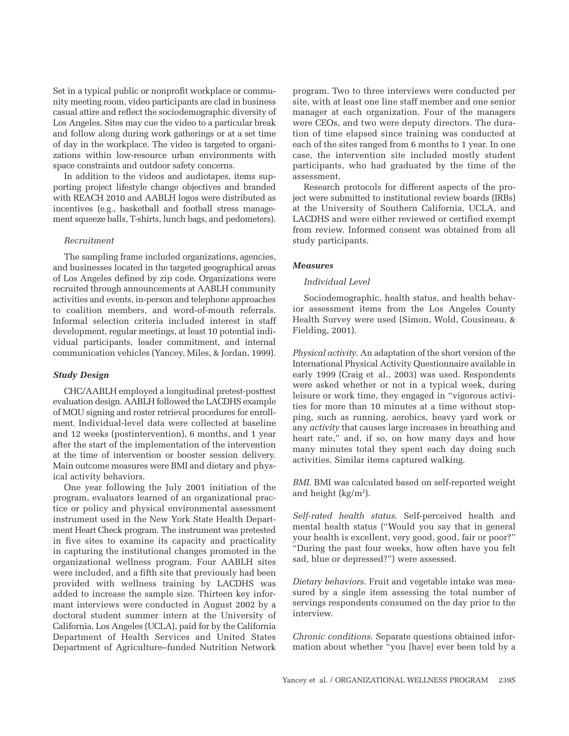Set in a typical public or nonprofit workplace or community meeting room, video participants are clad in business casual attire and reflect the sociodemographic diversity of Los Angeles. Sites may cue the video to a particular break and follow along during work gatherings or at a set time of day in the workplace. The video is targeted to organizations within low-resource urban environments with space constraints and outdoor safety concerns.

In addition to the videos and audiotapes, items supporting project lifestyle change objectives and branded with REACH 2010 and AABLH logos were distributed as incentives (e.g., basketball and football stress management squeeze balls, T-shirts, lunch bags, and pedometers).

## *Recruitment*

The sampling frame included organizations, agencies, and businesses located in the targeted geographical areas of Los Angeles defined by zip code. Organizations were recruited through announcements at AABLH community activities and events, in-person and telephone approaches to coalition members, and word-of-mouth referrals. Informal selection criteria included interest in staff development, regular meetings, at least 10 potential individual participants, leader commitment, and internal communication vehicles (Yancey, Miles, & Jordan, 1999).

#### *Study Design*

CHC/AABLH employed a longitudinal pretest-posttest evaluation design. AABLH followed the LACDHS example of MOU signing and roster retrieval procedures for enrollment. Individual-level data were collected at baseline and 12 weeks (postintervention), 6 months, and 1 year after the start of the implementation of the intervention at the time of intervention or booster session delivery. Main outcome measures were BMI and dietary and physical activity behaviors.

One year following the July 2001 initiation of the program, evaluators learned of an organizational practice or policy and physical environmental assessment instrument used in the New York State Health Department Heart Check program. The instrument was pretested in five sites to examine its capacity and practicality in capturing the institutional changes promoted in the organizational wellness program. Four AABLH sites were included, and a fifth site that previously had been provided with wellness training by LACDHS was added to increase the sample size. Thirteen key informant interviews were conducted in August 2002 by a doctoral student summer intern at the University of California, Los Angeles (UCLA), paid for by the California Department of Health Services and United States Department of Agriculture–funded Nutrition Network program. Two to three interviews were conducted per site, with at least one line staff member and one senior manager at each organization. Four of the managers were CEOs, and two were deputy directors. The duration of time elapsed since training was conducted at each of the sites ranged from 6 months to 1 year. In one case, the intervention site included mostly student participants, who had graduated by the time of the assessment.

Research protocols for different aspects of the project were submitted to institutional review boards (IRBs) at the University of Southern California, UCLA, and LACDHS and were either reviewed or certified exempt from review. Informed consent was obtained from all study participants.

#### *Measures*

# *Individual Level*

Sociodemographic, health status, and health behavior assessment items from the Los Angeles County Health Survey were used (Simon, Wold, Cousineau, & Fielding, 2001).

*Physical activity*. An adaptation of the short version of the International Physical Activity Questionnaire available in early 1999 (Craig et al., 2003) was used. Respondents were asked whether or not in a typical week, during leisure or work time, they engaged in "vigorous activities for more than 10 minutes at a time without stopping, such as running, aerobics, heavy yard work or any *activity* that causes large increases in breathing and heart rate," and, if so, on how many days and how many minutes total they spent each day doing such activities. Similar items captured walking.

*BMI*. BMI was calculated based on self-reported weight and height (kg/m<sup>2</sup>).

*Self-rated health status*. Self-perceived health and mental health status ("Would you say that in general your health is excellent, very good, good, fair or poor?" "During the past four weeks, how often have you felt sad, blue or depressed?") were assessed.

*Dietary behaviors*. Fruit and vegetable intake was measured by a single item assessing the total number of servings respondents consumed on the day prior to the interview.

*Chronic conditions*. Separate questions obtained information about whether "you [have] ever been told by a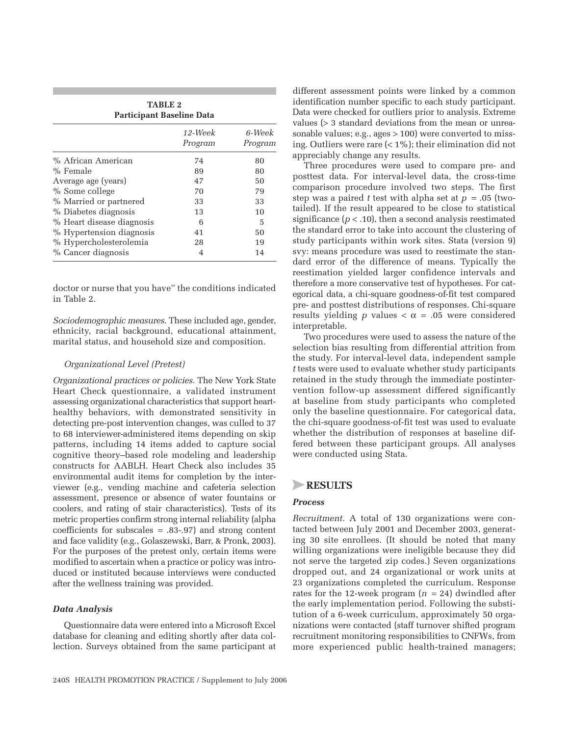**TABLE 2 Participant Baseline Data**

|                           | $12-Wek$<br>Program | 6-Week<br>Program |
|---------------------------|---------------------|-------------------|
| % African American        | 74                  | 80                |
| % Female                  | 89                  | 80                |
| Average age (years)       | 47                  | 50                |
| % Some college            | 70                  | 79                |
| % Married or partnered    | 33                  | 33                |
| % Diabetes diagnosis      | 13                  | 10                |
| % Heart disease diagnosis | 6                   | 5                 |
| % Hypertension diagnosis  | 41                  | 50                |
| % Hypercholesterolemia    | 28                  | 19                |
| % Cancer diagnosis        | 4                   | 14                |

doctor or nurse that you have" the conditions indicated in Table 2.

*Sociodemographic measures*. These included age, gender, ethnicity, racial background, educational attainment, marital status, and household size and composition.

#### *Organizational Level (Pretest)*

*Organizational practices or policies.* The New York State Heart Check questionnaire, a validated instrument assessing organizational characteristics that support hearthealthy behaviors, with demonstrated sensitivity in detecting pre-post intervention changes, was culled to 37 to 68 interviewer-administered items depending on skip patterns, including 14 items added to capture social cognitive theory–based role modeling and leadership constructs for AABLH. Heart Check also includes 35 environmental audit items for completion by the interviewer (e.g., vending machine and cafeteria selection assessment, presence or absence of water fountains or coolers, and rating of stair characteristics). Tests of its metric properties confirm strong internal reliability (alpha coefficients for subscales  $= .83-.97$  and strong content and face validity (e.g., Golaszewski, Barr, & Pronk, 2003). For the purposes of the pretest only, certain items were modified to ascertain when a practice or policy was introduced or instituted because interviews were conducted after the wellness training was provided.

#### *Data Analysis*

Questionnaire data were entered into a Microsoft Excel database for cleaning and editing shortly after data collection. Surveys obtained from the same participant at different assessment points were linked by a common identification number specific to each study participant. Data were checked for outliers prior to analysis. Extreme values (> 3 standard deviations from the mean or unreasonable values; e.g., ages > 100) were converted to missing. Outliers were rare (< 1%); their elimination did not appreciably change any results.

Three procedures were used to compare pre- and posttest data. For interval-level data, the cross-time comparison procedure involved two steps. The first step was a paired *t* test with alpha set at  $p = .05$  (twotailed). If the result appeared to be close to statistical significance  $(p < .10)$ , then a second analysis reestimated the standard error to take into account the clustering of study participants within work sites. Stata (version 9) svy: means procedure was used to reestimate the standard error of the difference of means. Typically the reestimation yielded larger confidence intervals and therefore a more conservative test of hypotheses. For categorical data, a chi-square goodness-of-fit test compared pre- and posttest distributions of responses. Chi-square results yielding *p* values  $< \alpha = .05$  were considered interpretable.

Two procedures were used to assess the nature of the selection bias resulting from differential attrition from the study. For interval-level data, independent sample *t* tests were used to evaluate whether study participants retained in the study through the immediate postintervention follow-up assessment differed significantly at baseline from study participants who completed only the baseline questionnaire. For categorical data, the chi-square goodness-of-fit test was used to evaluate whether the distribution of responses at baseline differed between these participant groups. All analyses were conducted using Stata.

# > **RESULTS**

#### *Process*

*Recruitment.* A total of 130 organizations were contacted between July 2001 and December 2003, generating 30 site enrollees. (It should be noted that many willing organizations were ineligible because they did not serve the targeted zip codes.) Seven organizations dropped out, and 24 organizational or work units at 23 organizations completed the curriculum. Response rates for the 12-week program  $(n = 24)$  dwindled after the early implementation period. Following the substitution of a 6-week curriculum, approximately 50 organizations were contacted (staff turnover shifted program recruitment monitoring responsibilities to CNFWs, from more experienced public health-trained managers;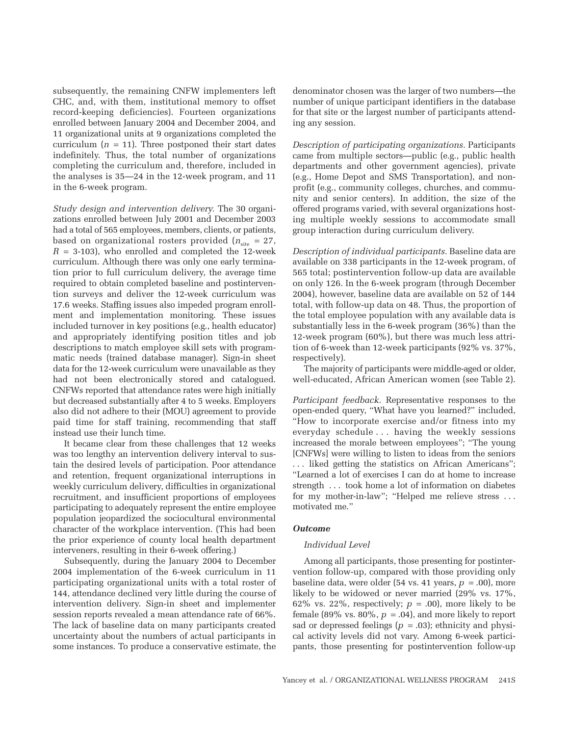subsequently, the remaining CNFW implementers left CHC, and, with them, institutional memory to offset record-keeping deficiencies). Fourteen organizations enrolled between January 2004 and December 2004, and 11 organizational units at 9 organizations completed the curriculum  $(n = 11)$ . Three postponed their start dates indefinitely. Thus, the total number of organizations completing the curriculum and, therefore, included in the analyses is 35—24 in the 12-week program, and 11 in the 6-week program.

*Study design and intervention delivery.* The 30 organizations enrolled between July 2001 and December 2003 had a total of 565 employees, members, clients, or patients, based on organizational rosters provided  $(n_{\text{site}} = 27,$  $R = 3-103$ , who enrolled and completed the 12-week curriculum. Although there was only one early termination prior to full curriculum delivery, the average time required to obtain completed baseline and postintervention surveys and deliver the 12-week curriculum was 17.6 weeks. Staffing issues also impeded program enrollment and implementation monitoring. These issues included turnover in key positions (e.g., health educator) and appropriately identifying position titles and job descriptions to match employee skill sets with programmatic needs (trained database manager). Sign-in sheet data for the 12-week curriculum were unavailable as they had not been electronically stored and catalogued. CNFWs reported that attendance rates were high initially but decreased substantially after 4 to 5 weeks. Employers also did not adhere to their (MOU) agreement to provide paid time for staff training, recommending that staff instead use their lunch time.

It became clear from these challenges that 12 weeks was too lengthy an intervention delivery interval to sustain the desired levels of participation. Poor attendance and retention, frequent organizational interruptions in weekly curriculum delivery, difficulties in organizational recruitment, and insufficient proportions of employees participating to adequately represent the entire employee population jeopardized the sociocultural environmental character of the workplace intervention. (This had been the prior experience of county local health department interveners, resulting in their 6-week offering.)

Subsequently, during the January 2004 to December 2004 implementation of the 6-week curriculum in 11 participating organizational units with a total roster of 144, attendance declined very little during the course of intervention delivery. Sign-in sheet and implementer session reports revealed a mean attendance rate of 66%. The lack of baseline data on many participants created uncertainty about the numbers of actual participants in some instances. To produce a conservative estimate, the

denominator chosen was the larger of two numbers—the number of unique participant identifiers in the database for that site or the largest number of participants attending any session.

*Description of participating organizations.* Participants came from multiple sectors—public (e.g., public health departments and other government agencies), private (e.g., Home Depot and SMS Transportation), and nonprofit (e.g., community colleges, churches, and community and senior centers). In addition, the size of the offered programs varied, with several organizations hosting multiple weekly sessions to accommodate small group interaction during curriculum delivery.

*Description of individual participants.* Baseline data are available on 338 participants in the 12-week program, of 565 total; postintervention follow-up data are available on only 126. In the 6-week program (through December 2004), however, baseline data are available on 52 of 144 total, with follow-up data on 48. Thus, the proportion of the total employee population with any available data is substantially less in the 6-week program (36%) than the 12-week program (60%), but there was much less attrition of 6-week than 12-week participants (92% vs. 37%, respectively).

The majority of participants were middle-aged or older, well-educated, African American women (see Table 2).

*Participant feedback.* Representative responses to the open-ended query, "What have you learned?" included, "How to incorporate exercise and/or fitness into my everyday schedule . . . having the weekly sessions increased the morale between employees"; "The young [CNFWs] were willing to listen to ideas from the seniors . . . liked getting the statistics on African Americans"; "Learned a lot of exercises I can do at home to increase strength . . . took home a lot of information on diabetes for my mother-in-law"; "Helped me relieve stress . . . motivated me."

# *Outcome*

## *Individual Level*

Among all participants, those presenting for postintervention follow-up, compared with those providing only baseline data, were older (54 vs. 41 years,  $p = .00$ ), more likely to be widowed or never married (29% vs. 17%, 62% vs. 22%, respectively;  $p = .00$ , more likely to be female (89% vs. 80%,  $p = .04$ ), and more likely to report sad or depressed feelings  $(p = .03)$ ; ethnicity and physical activity levels did not vary. Among 6-week participants, those presenting for postintervention follow-up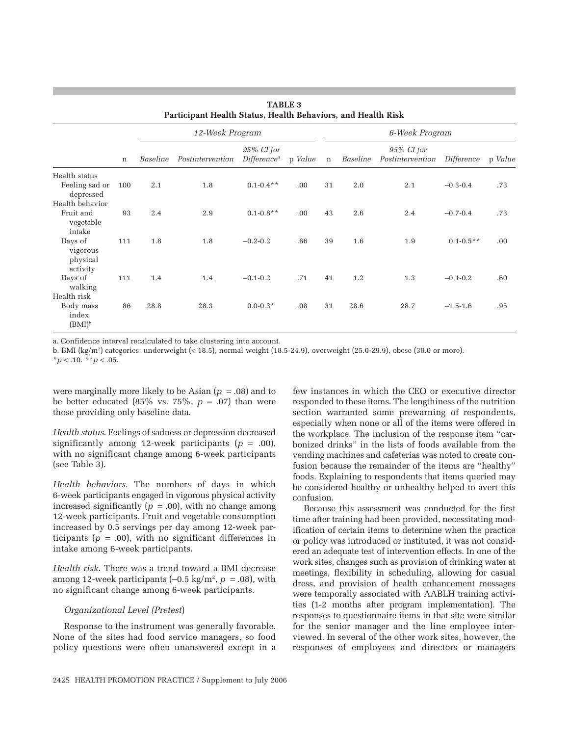|                                                     |             |          | 12-Week Program  |                                       |                | 6-Week Program |          |                                   |               |                |
|-----------------------------------------------------|-------------|----------|------------------|---------------------------------------|----------------|----------------|----------|-----------------------------------|---------------|----------------|
|                                                     | $\mathbf n$ | Baseline | Postintervention | 95% CI for<br>Difference <sup>a</sup> | p <i>Value</i> | $\mathbf n$    | Baseline | $95\%$ CI for<br>Postintervention | Difference    | p <i>Value</i> |
| Health status<br>Feeling sad or<br>depressed        | 100         | 2.1      | 1.8              | $0.1 - 0.4$ **                        | .00.           | 31             | 2.0      | 2.1                               | $-0.3 - 0.4$  | .73            |
| Health behavior<br>Fruit and<br>vegetable<br>intake | 93          | 2.4      | 2.9              | $0.1 - 0.8**$                         | 00.            | 43             | 2.6      | 2.4                               | $-0.7 - 0.4$  | .73            |
| Days of<br>vigorous<br>physical<br>activity         | 111         | 1.8      | 1.8              | $-0.2 - 0.2$                          | .66            | 39             | 1.6      | 1.9                               | $0.1 - 0.5**$ | .00.           |
| Days of<br>walking<br>Health risk                   | 111         | 1.4      | 1.4              | $-0.1 - 0.2$                          | .71            | 41             | 1.2      | 1.3                               | $-0.1 - 0.2$  | .60            |
| Body mass<br>index<br>$(BMI)^b$                     | 86          | 28.8     | 28.3             | $0.0 - 0.3*$                          | .08            | 31             | 28.6     | 28.7                              | $-1.5 - 1.6$  | .95            |

**TABLE 3 Participant Health Status, Health Behaviors, and Health Risk**

a. Confidence interval recalculated to take clustering into account.

b. BMI (kg/m2 ) categories: underweight (< 18.5), normal weight (18.5-24.9), overweight (25.0-29.9), obese (30.0 or more).

\**p* < .10. \*\**p* < .05.

were marginally more likely to be Asian  $(p = .08)$  and to be better educated  $(85\% \text{ vs. } 75\%, p = .07)$  than were those providing only baseline data.

*Health status*. Feelings of sadness or depression decreased significantly among 12-week participants  $(p = .00)$ , with no significant change among 6-week participants (see Table 3).

*Health behaviors*. The numbers of days in which 6-week participants engaged in vigorous physical activity increased significantly  $(p = .00)$ , with no change among 12-week participants. Fruit and vegetable consumption increased by 0.5 servings per day among 12-week participants ( $p = .00$ ), with no significant differences in intake among 6-week participants.

*Health risk*. There was a trend toward a BMI decrease among 12-week participants  $(-0.5 \text{ kg/m}^2, p = .08)$ , with no significant change among 6-week participants.

#### *Organizational Level (Pretest*)

Response to the instrument was generally favorable. None of the sites had food service managers, so food policy questions were often unanswered except in a few instances in which the CEO or executive director responded to these items. The lengthiness of the nutrition section warranted some prewarning of respondents, especially when none or all of the items were offered in the workplace. The inclusion of the response item "carbonized drinks" in the lists of foods available from the vending machines and cafeterias was noted to create confusion because the remainder of the items are "healthy" foods. Explaining to respondents that items queried may be considered healthy or unhealthy helped to avert this confusion.

Because this assessment was conducted for the first time after training had been provided, necessitating modification of certain items to determine when the practice or policy was introduced or instituted, it was not considered an adequate test of intervention effects. In one of the work sites, changes such as provision of drinking water at meetings, flexibility in scheduling, allowing for casual dress, and provision of health enhancement messages were temporally associated with AABLH training activities (1-2 months after program implementation). The responses to questionnaire items in that site were similar for the senior manager and the line employee interviewed. In several of the other work sites, however, the responses of employees and directors or managers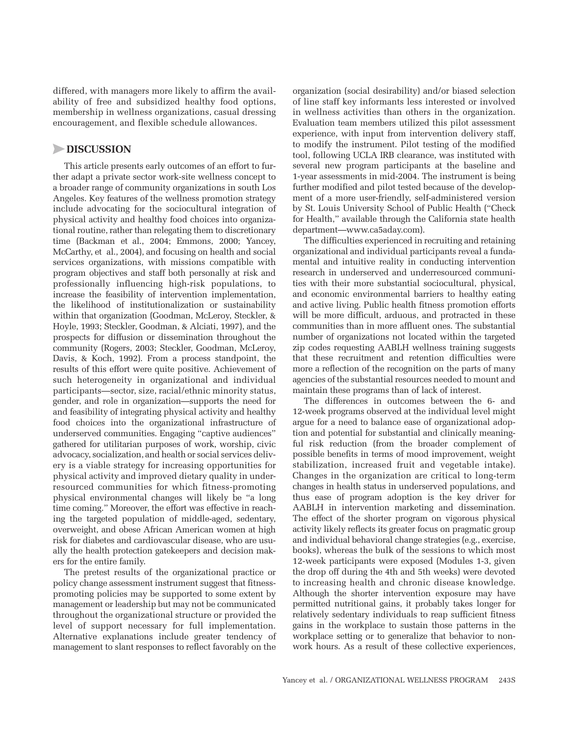differed, with managers more likely to affirm the availability of free and subsidized healthy food options, membership in wellness organizations, casual dressing encouragement, and flexible schedule allowances.

# > **DISCUSSION**

This article presents early outcomes of an effort to further adapt a private sector work-site wellness concept to a broader range of community organizations in south Los Angeles. Key features of the wellness promotion strategy include advocating for the sociocultural integration of physical activity and healthy food choices into organizational routine, rather than relegating them to discretionary time (Backman et al., 2004; Emmons, 2000; Yancey, McCarthy, et al., 2004), and focusing on health and social services organizations, with missions compatible with program objectives and staff both personally at risk and professionally influencing high-risk populations, to increase the feasibility of intervention implementation, the likelihood of institutionalization or sustainability within that organization (Goodman, McLeroy, Steckler, & Hoyle, 1993; Steckler, Goodman, & Alciati, 1997), and the prospects for diffusion or dissemination throughout the community (Rogers, 2003; Steckler, Goodman, McLeroy, Davis, & Koch, 1992). From a process standpoint, the results of this effort were quite positive. Achievement of such heterogeneity in organizational and individual participants—sector, size, racial/ethnic minority status, gender, and role in organization—supports the need for and feasibility of integrating physical activity and healthy food choices into the organizational infrastructure of underserved communities. Engaging "captive audiences" gathered for utilitarian purposes of work, worship, civic advocacy, socialization, and health or social services delivery is a viable strategy for increasing opportunities for physical activity and improved dietary quality in underresourced communities for which fitness-promoting physical environmental changes will likely be "a long time coming." Moreover, the effort was effective in reaching the targeted population of middle-aged, sedentary, overweight, and obese African American women at high risk for diabetes and cardiovascular disease, who are usually the health protection gatekeepers and decision makers for the entire family.

The pretest results of the organizational practice or policy change assessment instrument suggest that fitnesspromoting policies may be supported to some extent by management or leadership but may not be communicated throughout the organizational structure or provided the level of support necessary for full implementation. Alternative explanations include greater tendency of management to slant responses to reflect favorably on the

organization (social desirability) and/or biased selection of line staff key informants less interested or involved in wellness activities than others in the organization. Evaluation team members utilized this pilot assessment experience, with input from intervention delivery staff, to modify the instrument. Pilot testing of the modified tool, following UCLA IRB clearance, was instituted with several new program participants at the baseline and 1-year assessments in mid-2004. The instrument is being further modified and pilot tested because of the development of a more user-friendly, self-administered version by St. Louis University School of Public Health ("Check for Health," available through the California state health department—www.ca5aday.com).

The difficulties experienced in recruiting and retaining organizational and individual participants reveal a fundamental and intuitive reality in conducting intervention research in underserved and underresourced communities with their more substantial sociocultural, physical, and economic environmental barriers to healthy eating and active living. Public health fitness promotion efforts will be more difficult, arduous, and protracted in these communities than in more affluent ones. The substantial number of organizations not located within the targeted zip codes requesting AABLH wellness training suggests that these recruitment and retention difficulties were more a reflection of the recognition on the parts of many agencies of the substantial resources needed to mount and maintain these programs than of lack of interest.

The differences in outcomes between the 6- and 12-week programs observed at the individual level might argue for a need to balance ease of organizational adoption and potential for substantial and clinically meaningful risk reduction (from the broader complement of possible benefits in terms of mood improvement, weight stabilization, increased fruit and vegetable intake). Changes in the organization are critical to long-term changes in health status in underserved populations, and thus ease of program adoption is the key driver for AABLH in intervention marketing and dissemination. The effect of the shorter program on vigorous physical activity likely reflects its greater focus on pragmatic group and individual behavioral change strategies (e.g., exercise, books), whereas the bulk of the sessions to which most 12-week participants were exposed (Modules 1-3, given the drop off during the 4th and 5th weeks) were devoted to increasing health and chronic disease knowledge. Although the shorter intervention exposure may have permitted nutritional gains, it probably takes longer for relatively sedentary individuals to reap sufficient fitness gains in the workplace to sustain those patterns in the workplace setting or to generalize that behavior to nonwork hours. As a result of these collective experiences,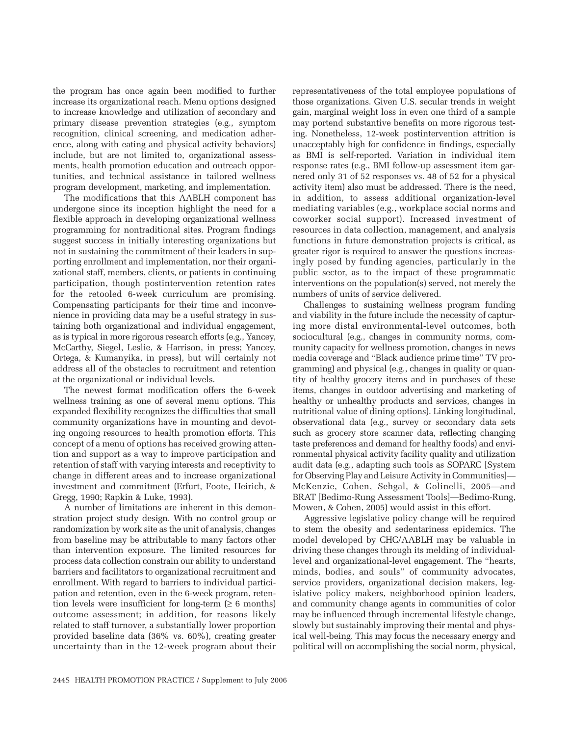the program has once again been modified to further increase its organizational reach. Menu options designed to increase knowledge and utilization of secondary and primary disease prevention strategies (e.g., symptom recognition, clinical screening, and medication adherence, along with eating and physical activity behaviors) include, but are not limited to, organizational assessments, health promotion education and outreach opportunities, and technical assistance in tailored wellness program development, marketing, and implementation.

The modifications that this AABLH component has undergone since its inception highlight the need for a flexible approach in developing organizational wellness programming for nontraditional sites. Program findings suggest success in initially interesting organizations but not in sustaining the commitment of their leaders in supporting enrollment and implementation, nor their organizational staff, members, clients, or patients in continuing participation, though postintervention retention rates for the retooled 6-week curriculum are promising. Compensating participants for their time and inconvenience in providing data may be a useful strategy in sustaining both organizational and individual engagement, as is typical in more rigorous research efforts (e.g., Yancey, McCarthy, Siegel, Leslie, & Harrison, in press; Yancey, Ortega, & Kumanyika, in press), but will certainly not address all of the obstacles to recruitment and retention at the organizational or individual levels.

The newest format modification offers the 6-week wellness training as one of several menu options. This expanded flexibility recognizes the difficulties that small community organizations have in mounting and devoting ongoing resources to health promotion efforts. This concept of a menu of options has received growing attention and support as a way to improve participation and retention of staff with varying interests and receptivity to change in different areas and to increase organizational investment and commitment (Erfurt, Foote, Heirich, & Gregg, 1990; Rapkin & Luke, 1993).

A number of limitations are inherent in this demonstration project study design. With no control group or randomization by work site as the unit of analysis, changes from baseline may be attributable to many factors other than intervention exposure. The limited resources for process data collection constrain our ability to understand barriers and facilitators to organizational recruitment and enrollment. With regard to barriers to individual participation and retention, even in the 6-week program, retention levels were insufficient for long-term  $(≥ 6$  months) outcome assessment; in addition, for reasons likely related to staff turnover, a substantially lower proportion provided baseline data (36% vs. 60%), creating greater uncertainty than in the 12-week program about their representativeness of the total employee populations of those organizations. Given U.S. secular trends in weight gain, marginal weight loss in even one third of a sample may portend substantive benefits on more rigorous testing. Nonetheless, 12-week postintervention attrition is unacceptably high for confidence in findings, especially as BMI is self-reported. Variation in individual item response rates (e.g., BMI follow-up assessment item garnered only 31 of 52 responses vs. 48 of 52 for a physical activity item) also must be addressed. There is the need, in addition, to assess additional organization-level mediating variables (e.g., workplace social norms and coworker social support). Increased investment of resources in data collection, management, and analysis functions in future demonstration projects is critical, as greater rigor is required to answer the questions increasingly posed by funding agencies, particularly in the public sector, as to the impact of these programmatic interventions on the population(s) served, not merely the numbers of units of service delivered.

Challenges to sustaining wellness program funding and viability in the future include the necessity of capturing more distal environmental-level outcomes, both sociocultural (e.g., changes in community norms, community capacity for wellness promotion, changes in news media coverage and "Black audience prime time" TV programming) and physical (e.g., changes in quality or quantity of healthy grocery items and in purchases of these items, changes in outdoor advertising and marketing of healthy or unhealthy products and services, changes in nutritional value of dining options). Linking longitudinal, observational data (e.g., survey or secondary data sets such as grocery store scanner data, reflecting changing taste preferences and demand for healthy foods) and environmental physical activity facility quality and utilization audit data (e.g., adapting such tools as SOPARC [System for Observing Play and Leisure Activity in Communities]— McKenzie, Cohen, Sehgal, & Golinelli, 2005—and BRAT [Bedimo-Rung Assessment Tools]—Bedimo-Rung, Mowen, & Cohen, 2005) would assist in this effort.

Aggressive legislative policy change will be required to stem the obesity and sedentariness epidemics. The model developed by CHC/AABLH may be valuable in driving these changes through its melding of individuallevel and organizational-level engagement. The "hearts, minds, bodies, and souls" of community advocates, service providers, organizational decision makers, legislative policy makers, neighborhood opinion leaders, and community change agents in communities of color may be influenced through incremental lifestyle change, slowly but sustainably improving their mental and physical well-being. This may focus the necessary energy and political will on accomplishing the social norm, physical,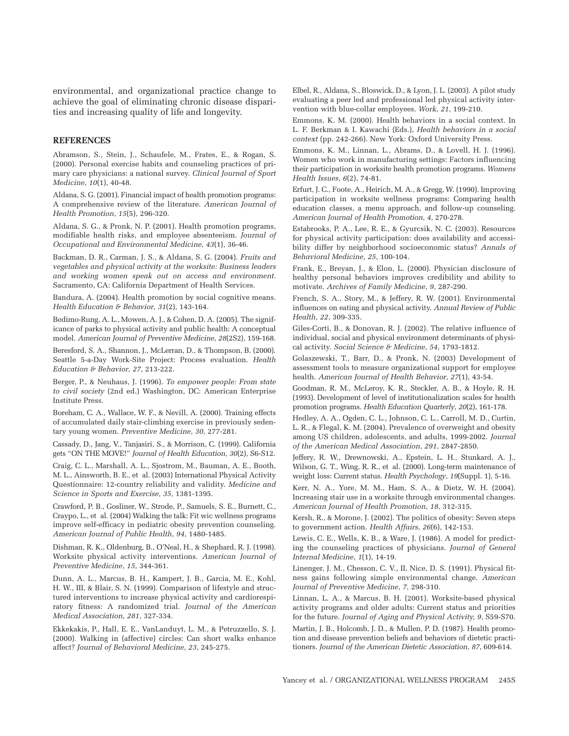environmental, and organizational practice change to achieve the goal of eliminating chronic disease disparities and increasing quality of life and longevity.

#### **REFERENCES**

Abramson, S., Stein, J., Schaufele, M., Frates, E., & Rogan, S. (2000). Personal exercise habits and counseling practices of primary care physicians: a national survey. *Clinical Journal of Sport Medicine*, *10*(1), 40-48.

Aldana, S. G. (2001). Financial impact of health promotion programs: A comprehensive review of the literature. *American Journal of Health Promotion*, *15*(5), 296-320.

Aldana, S. G., & Pronk, N. P. (2001). Health promotion programs, modifiable health risks, and employee absenteeism. *Journal of Occupational and Environmental Medicine*, *43*(1), 36-46.

Backman, D. R., Carman, J. S., & Aldana, S. G. (2004). *Fruits and vegetables and physical activity at the worksite: Business leaders and working women speak out on access and environment.* Sacramento, CA: California Department of Health Services.

Bandura, A. (2004). Health promotion by social cognitive means. *Health Education & Behavior*, *31*(2), 143-164.

Bedimo-Rung, A. L., Mowen, A. J., & Cohen, D. A. (2005). The significance of parks to physical activity and public health: A conceptual model. *American Journal of Preventive Medicine*, *28*(2S2), 159-168.

Beresford, S. A., Shannon, J., McLerran, D., & Thompson, B. (2000). Seattle 5-a-Day Work-Site Project: Process evaluation. *Health Education & Behavior*, *27*, 213-222.

Berger, P., & Neuhaus, J. (1996). *To empower people: From state to civil society* (2nd ed.) Washington, DC: American Enterprise Institute Press.

Boreham, C. A., Wallace, W. F., & Nevill, A. (2000). Training effects of accumulated daily stair-climbing exercise in previously sedentary young women. *Preventive Medicine*, *30*, 277-281.

Cassady, D., Jang, V., Tanjasiri, S., & Morrison, C. (1999). California gets "ON THE MOVE!" *Journal of Health Education*, *30*(2), S6-S12.

Craig, C. L., Marshall, A. L., Sjostrom, M., Bauman, A. E., Booth, M. L., Ainsworth, B. E., et al. (2003) International Physical Activity Questionnaire: 12-country reliability and validity. *Medicine and Science in Sports and Exercise*, *35*, 1381-1395.

Crawford, P. B., Gosliner, W., Strode, P., Samuels, S. E., Burnett, C., Craypo, L., et al. (2004) Walking the talk: Fit wic wellness programs improve self-efficacy in pediatric obesity prevention counseling. *American Journal of Public Health*, *94*, 1480-1485.

Dishman, R. K., Oldenburg, B., O'Neal, H., & Shephard, R. J. (1998). Worksite physical activity interventions. *American Journal of Preventive Medicine*, *15*, 344-361.

Dunn, A. L., Marcus, B. H., Kampert, J. B., Garcia, M. E., Kohl, H. W., III, & Blair, S. N. (1999). Comparison of lifestyle and structured interventions to increase physical activity and cardiorespiratory fitness: A randomized trial. *Journal of the American Medical Association*, *281*, 327-334.

Ekkekakis, P., Hall, E. E., VanLanduyt, L. M., & Petruzzello, S. J. (2000). Walking in (affective) circles: Can short walks enhance affect? *Journal of Behavioral Medicine*, *23*, 245-275.

Elbel, R., Aldana, S., Bloswick, D., & Lyon, J. L. (2003). A pilot study evaluating a peer led and professional led physical activity intervention with blue-collar employees. *Work*, *21*, 199-210.

Emmons, K. M. (2000). Health behaviors in a social context. In L. F. Berkman & I. Kawachi (Eds.), *Health behaviors in a social context* (pp. 242-266). New York: Oxford University Press.

Emmons, K. M., Linnan, L., Abrams, D., & Lovell, H. J. (1996). Women who work in manufacturing settings: Factors influencing their participation in worksite health promotion programs. *Womens Health Issues*, *6*(2), 74-81.

Erfurt, J. C., Foote, A., Heirich, M. A., & Gregg, W. (1990). Improving participation in worksite wellness programs: Comparing health education classes, a menu approach, and follow-up counseling. *American Journal of Health Promotion*, *4*, 270-278.

Estabrooks, P. A., Lee, R. E., & Gyurcsik, N. C. (2003). Resources for physical activity participation: does availability and accessibility differ by neighborhood socioeconomic status? *Annals of Behavioral Medicine*, *25*, 100-104.

Frank, E., Breyan, J., & Elon, L. (2000). Physician disclosure of healthy personal behaviors improves credibility and ability to motivate. *Archives of Family Medicine*, *9*, 287-290.

French, S. A., Story, M., & Jeffery, R. W. (2001). Environmental influences on eating and physical activity. *Annual Review of Public Health*, *22*, 309-335.

Giles-Corti, B., & Donovan, R. J. (2002). The relative influence of individual, social and physical environment determinants of physical activity. *Social Science & Medicine*, *54*, 1793-1812.

Golaszewski, T., Barr, D., & Pronk, N. (2003) Development of assessment tools to measure organizational support for employee health. *American Journal of Health Behavior*, *27*(1), 43-54.

Goodman, R. M., McLeroy, K. R., Steckler, A. B., & Hoyle, R. H. (1993). Development of level of institutionalization scales for health promotion programs. *Health Education Quarterly*, *20*(2), 161-178.

Hedley, A. A., Ogden, C. L., Johnson, C. L., Carroll, M. D., Curtin, L. R., & Flegal, K. M. (2004). Prevalence of overweight and obesity among US children, adolescents, and adults, 1999-2002. *Journal of the American Medical Association*, *291*, 2847-2850.

Jeffery, R. W., Drewnowski, A., Epstein, L. H., Stunkard, A. J., Wilson, G. T., Wing, R. R., et al. (2000). Long-term maintenance of weight loss: Current status. *Health Psychology*, *19*(Suppl. 1), 5-16.

Kerr, N. A., Yore, M. M., Ham, S. A., & Dietz, W. H. (2004). Increasing stair use in a worksite through environmental changes. *American Journal of Health Promotion*, *18*, 312-315.

Kersh, R., & Morone, J. (2002). The politics of obesity: Seven steps to government action. *Health Affairs*, *26*(6), 142-153.

Lewis, C. E., Wells, K. B., & Ware, J. (1986). A model for predicting the counseling practices of physicians. *Journal of General Internal Medicine*, *1*(1), 14-19.

Linenger, J. M., Chesson, C. V., II, Nice, D. S. (1991). Physical fitness gains following simple environmental change. *American Journal of Preventive Medicine*, *7*, 298-310.

Linnan, L. A., & Marcus, B. H. (2001). Worksite-based physical activity programs and older adults: Current status and priorities for the future. *Journal of Aging and Physical Activity, 9*, S59-S70. Martin, J. B., Holcomb, J. D., & Mullen, P. D. (1987). Health promotion and disease prevention beliefs and behaviors of dietetic practitioners. *Journal of the American Dietetic Association*, *87*, 609-614.